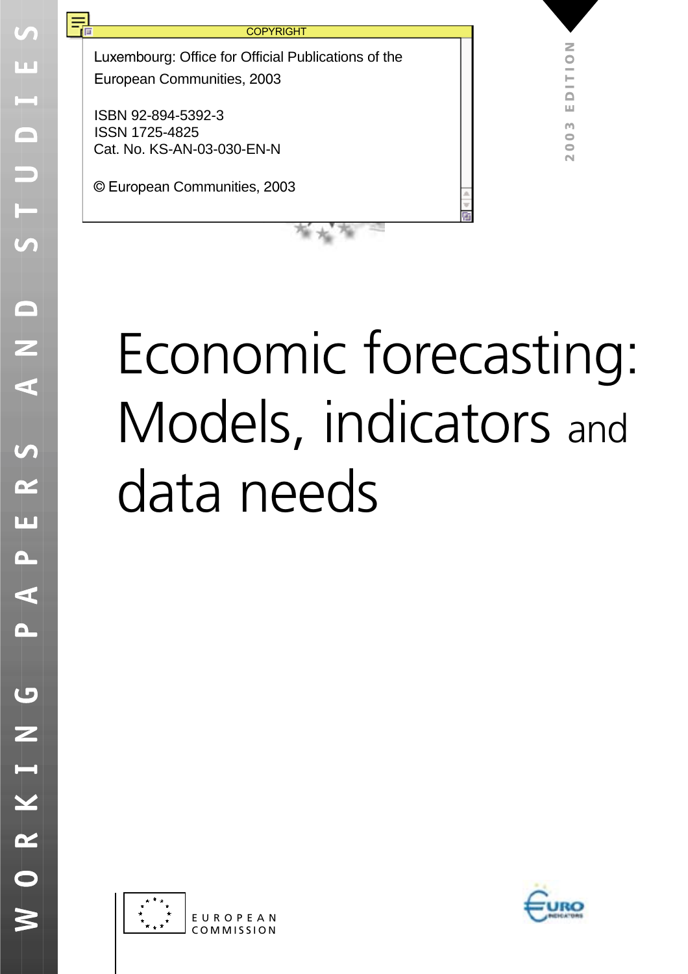**COPYRIGHT** 

Luxembourg: Office for Official Publications of the European Communities, 2003

Cat. No. KS-AN-03-030-EN-N ISBN 92-894-5392-3 ISSN 1725-4825

큐

© European Communities, 2003

# Economic forecasting: Models, indicators and data needs





**2003 EDITION**

Щ m 2003

DITIO

Z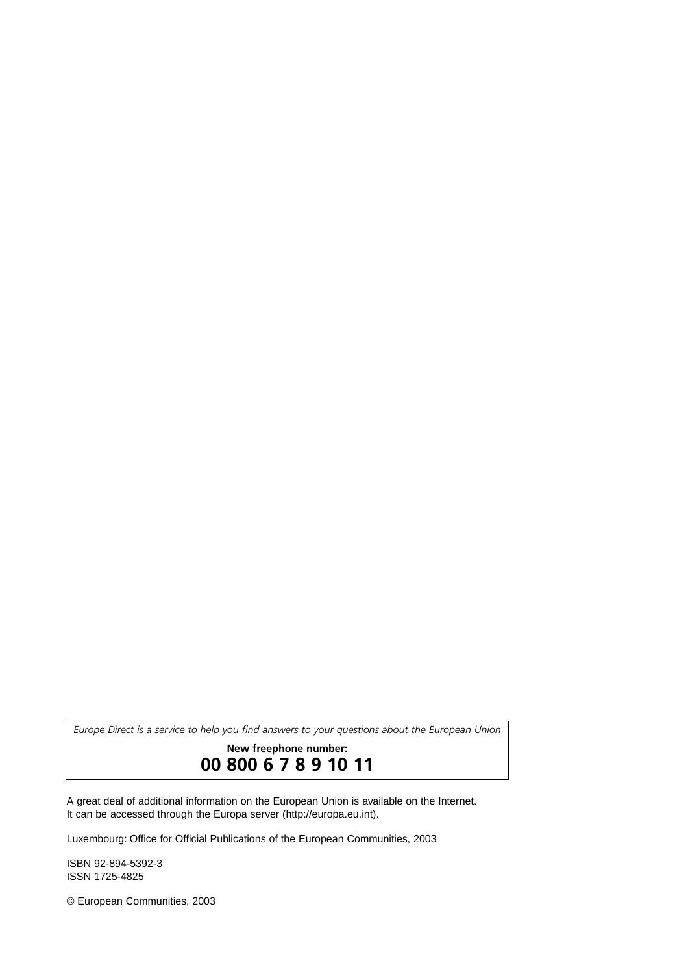*Europe Direct is a service to help you find answers to your questions about the European Union*

# **New freephone number: 00 800 6 7 8 9 10 11**

A great deal of additional information on the European Union is available on the Internet. It can be accessed through the Europa server (http://europa.eu.int).

Luxembourg: Office for Official Publications of the European Communities, 2003

ISBN 92-894-5392-3 ISSN 1725-4825

© European Communities, 2003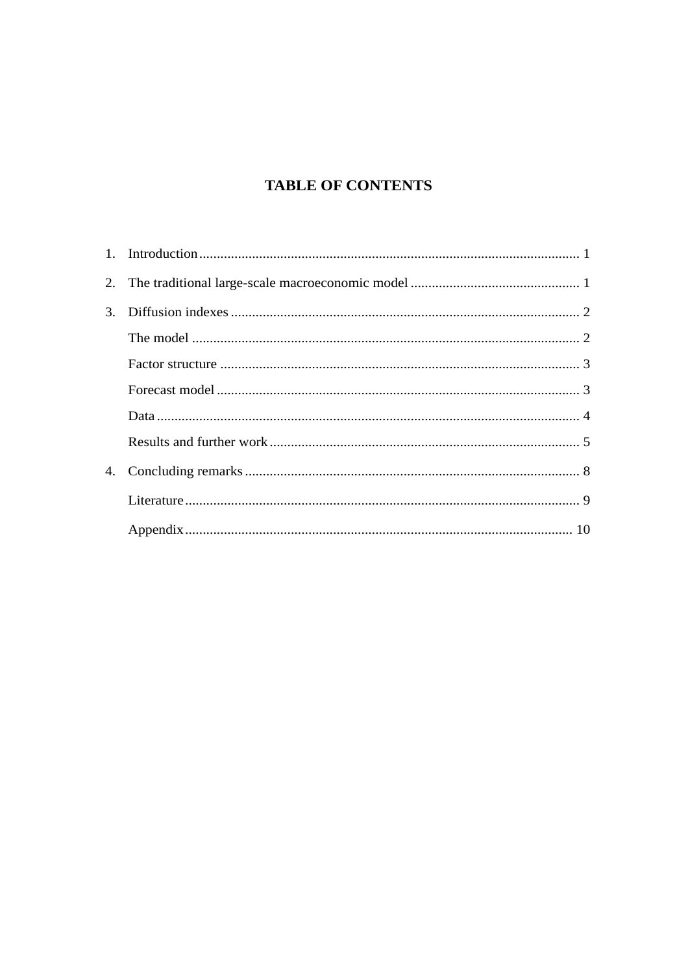# **TABLE OF CONTENTS**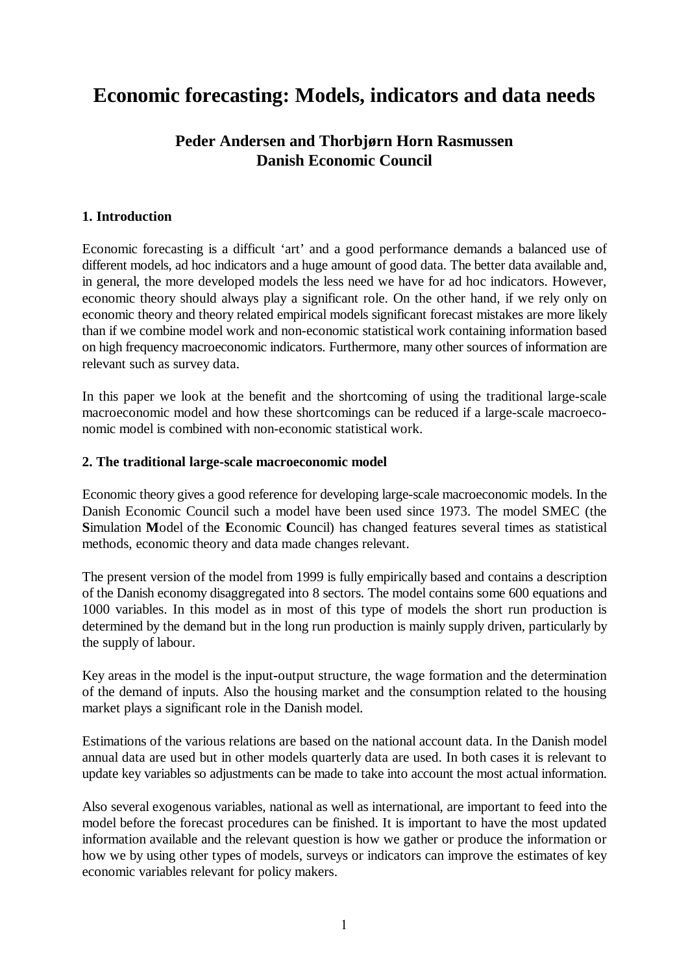# <span id="page-3-0"></span>**Economic forecasting: Models, indicators and data needs**

# **Peder Andersen and Thorbjørn Horn Rasmussen Danish Economic Council**

### **1. Introduction**

Economic forecasting is a difficult 'art' and a good performance demands a balanced use of different models, ad hoc indicators and a huge amount of good data. The better data available and, in general, the more developed models the less need we have for ad hoc indicators. However, economic theory should always play a significant role. On the other hand, if we rely only on economic theory and theory related empirical models significant forecast mistakes are more likely than if we combine model work and non-economic statistical work containing information based on high frequency macroeconomic indicators. Furthermore, many other sources of information are relevant such as survey data.

In this paper we look at the benefit and the shortcoming of using the traditional large-scale macroeconomic model and how these shortcomings can be reduced if a large-scale macroeconomic model is combined with non-economic statistical work.

### **2. The traditional large-scale macroeconomic model**

Economic theory gives a good reference for developing large-scale macroeconomic models. In the Danish Economic Council such a model have been used since 1973. The model SMEC (the **S**imulation **M**odel of the **E**conomic **C**ouncil) has changed features several times as statistical methods, economic theory and data made changes relevant.

The present version of the model from 1999 is fully empirically based and contains a description of the Danish economy disaggregated into 8 sectors. The model contains some 600 equations and 1000 variables. In this model as in most of this type of models the short run production is determined by the demand but in the long run production is mainly supply driven, particularly by the supply of labour.

Key areas in the model is the input**-**output structure, the wage formation and the determination of the demand of inputs. Also the housing market and the consumption related to the housing market plays a significant role in the Danish model.

Estimations of the various relations are based on the national account data. In the Danish model annual data are used but in other models quarterly data are used. In both cases it is relevant to update key variables so adjustments can be made to take into account the most actual information.

Also several exogenous variables, national as well as international, are important to feed into the model before the forecast procedures can be finished. It is important to have the most updated information available and the relevant question is how we gather or produce the information or how we by using other types of models, surveys or indicators can improve the estimates of key economic variables relevant for policy makers.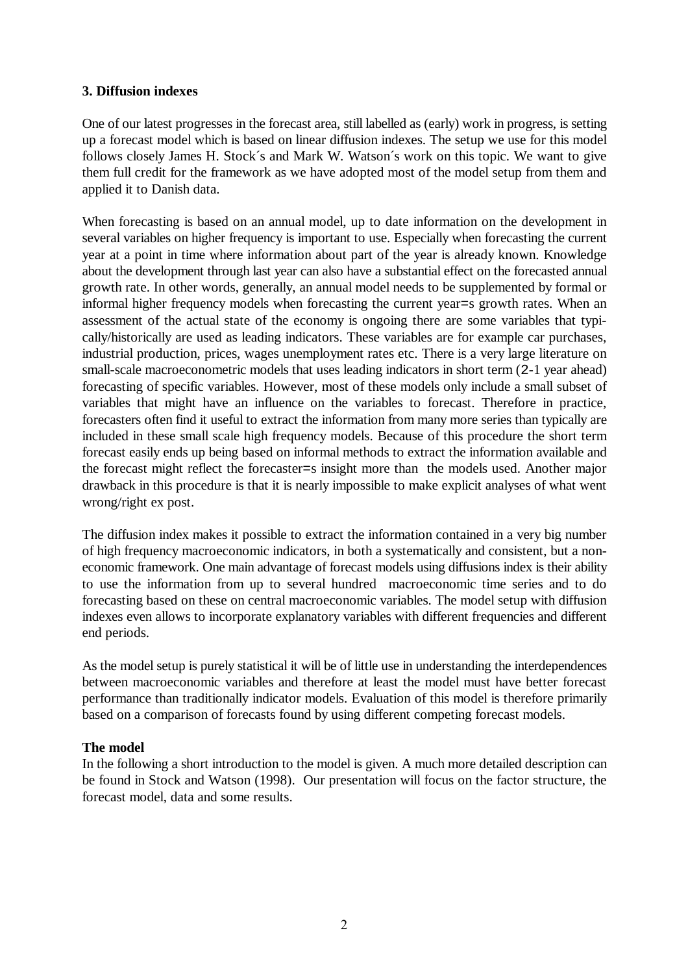#### <span id="page-4-0"></span>**3. Diffusion indexes**

One of our latest progresses in the forecast area, still labelled as (early) work in progress, is setting up a forecast model which is based on linear diffusion indexes. The setup we use for this model follows closely James H. Stock´s and Mark W. Watson´s work on this topic. We want to give them full credit for the framework as we have adopted most of the model setup from them and applied it to Danish data.

When forecasting is based on an annual model, up to date information on the development in several variables on higher frequency is important to use. Especially when forecasting the current year at a point in time where information about part of the year is already known. Knowledge about the development through last year can also have a substantial effect on the forecasted annual growth rate. In other words, generally, an annual model needs to be supplemented by formal or informal higher frequency models when forecasting the current year=s growth rates. When an assessment of the actual state of the economy is ongoing there are some variables that typically/historically are used as leading indicators. These variables are for example car purchases, industrial production, prices, wages unemployment rates etc. There is a very large literature on small-scale macroeconometric models that uses leading indicators in short term (2-1 year ahead) forecasting of specific variables. However, most of these models only include a small subset of variables that might have an influence on the variables to forecast. Therefore in practice, forecasters often find it useful to extract the information from many more series than typically are included in these small scale high frequency models. Because of this procedure the short term forecast easily ends up being based on informal methods to extract the information available and the forecast might reflect the forecaster=s insight more than the models used. Another major drawback in this procedure is that it is nearly impossible to make explicit analyses of what went wrong/right ex post.

The diffusion index makes it possible to extract the information contained in a very big number of high frequency macroeconomic indicators, in both a systematically and consistent, but a noneconomic framework. One main advantage of forecast models using diffusions index is their ability to use the information from up to several hundred macroeconomic time series and to do forecasting based on these on central macroeconomic variables. The model setup with diffusion indexes even allows to incorporate explanatory variables with different frequencies and different end periods.

As the model setup is purely statistical it will be of little use in understanding the interdependences between macroeconomic variables and therefore at least the model must have better forecast performance than traditionally indicator models. Evaluation of this model is therefore primarily based on a comparison of forecasts found by using different competing forecast models.

# **The model**

In the following a short introduction to the model is given. A much more detailed description can be found in Stock and Watson (1998). Our presentation will focus on the factor structure, the forecast model, data and some results.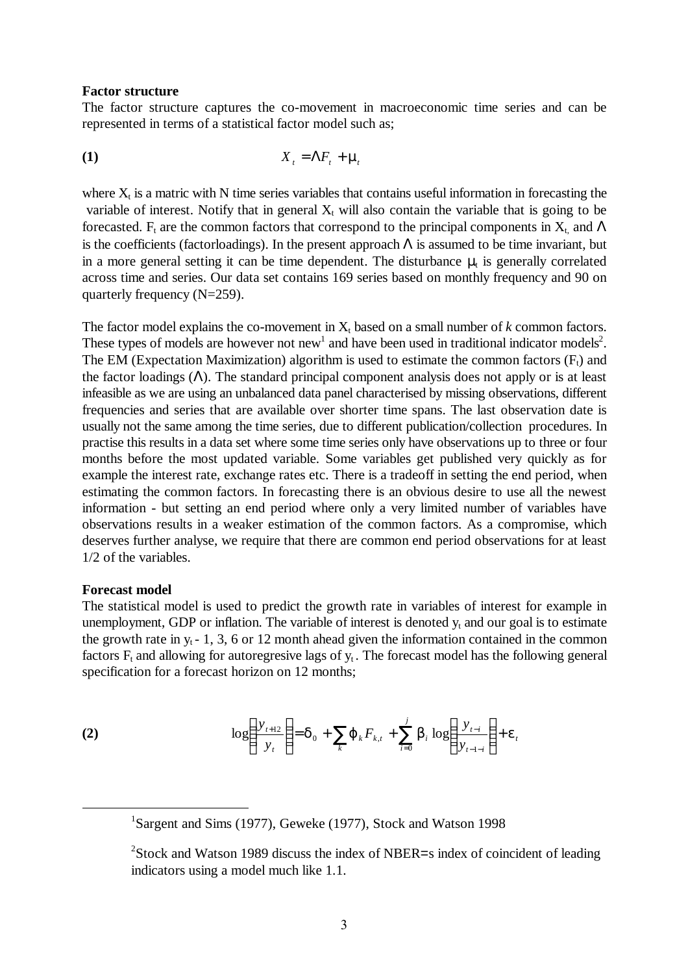#### <span id="page-5-0"></span>**Factor structure**

The factor structure captures the co-movement in macroeconomic time series and can be represented in terms of a statistical factor model such as;

$$
X_t = \Lambda F_t + \mathbf{m}_t
$$

where  $X_t$  is a matric with N time series variables that contains useful information in forecasting the variable of interest. Notify that in general  $X_t$  will also contain the variable that is going to be forecasted. F<sub>t</sub> are the common factors that correspond to the principal components in  $X_t$  and  $\Lambda$ is the coefficients (factorloadings). In the present approach  $\Lambda$  is assumed to be time invariant, but in a more general setting it can be time dependent. The disturbance  $\mu_t$  is generally correlated across time and series. Our data set contains 169 series based on monthly frequency and 90 on quarterly frequency (N=259).

The factor model explains the co-movement in  $X_t$  based on a small number of  $k$  common factors. These types of models are however not new<sup>1</sup> and have been used in traditional indicator models<sup>2</sup>. The EM (Expectation Maximization) algorithm is used to estimate the common factors  $(F_t)$  and the factor loadings  $(\Lambda)$ . The standard principal component analysis does not apply or is at least infeasible as we are using an unbalanced data panel characterised by missing observations, different frequencies and series that are available over shorter time spans. The last observation date is usually not the same among the time series, due to different publication/collection procedures. In practise this results in a data set where some time series only have observations up to three or four months before the most updated variable. Some variables get published very quickly as for example the interest rate, exchange rates etc. There is a tradeoff in setting the end period, when estimating the common factors. In forecasting there is an obvious desire to use all the newest information - but setting an end period where only a very limited number of variables have observations results in a weaker estimation of the common factors. As a compromise, which deserves further analyse, we require that there are common end period observations for at least 1/2 of the variables.

#### **Forecast model**

The statistical model is used to predict the growth rate in variables of interest for example in unemployment, GDP or inflation. The variable of interest is denoted  $y_t$  and our goal is to estimate the growth rate in  $y_t$  - 1, 3, 6 or 12 month ahead given the information contained in the common factors  $F_t$  and allowing for autoregresive lags of  $y_t$ . The forecast model has the following general specification for a forecast horizon on 12 months;

(2) 
$$
\log \left( \frac{y_{t+12}}{y_t} \right) = \mathbf{d}_0 + \sum_{k} \mathbf{j} \, k F_{k,t} + \sum_{i=0}^{j} \mathbf{b}_i \, \log \left( \frac{y_{t-i}}{y_{t-1-i}} \right) + \mathbf{e}_t
$$

<u>1</u> <sup>1</sup>Sargent and Sims (1977), Geweke (1977), Stock and Watson 1998

<sup>&</sup>lt;sup>2</sup>Stock and Watson 1989 discuss the index of NBER=s index of coincident of leading indicators using a model much like 1.1.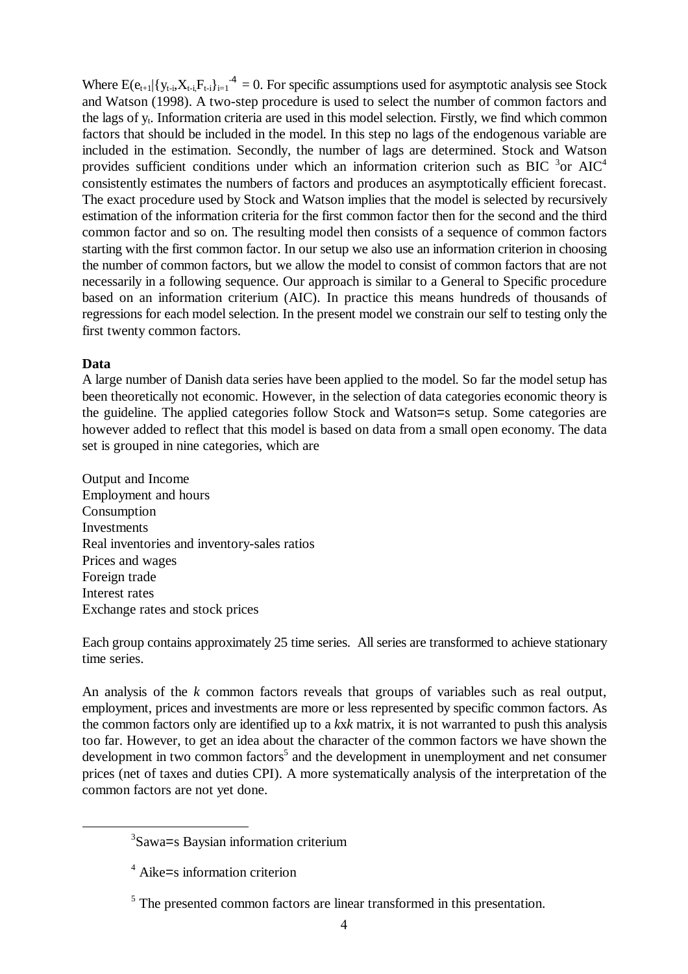<span id="page-6-0"></span>Where  $E(e_{t+1}|\{y_{t,i},X_{t-i},F_{t-i}\}|_{t=1}^4 = 0$ . For specific assumptions used for asymptotic analysis see Stock and Watson (1998). A two-step procedure is used to select the number of common factors and the lags of y<sub>t</sub>. Information criteria are used in this model selection. Firstly, we find which common factors that should be included in the model. In this step no lags of the endogenous variable are included in the estimation. Secondly, the number of lags are determined. Stock and Watson provides sufficient conditions under which an information criterion such as BIC  $3$ or AIC<sup>4</sup> consistently estimates the numbers of factors and produces an asymptotically efficient forecast. The exact procedure used by Stock and Watson implies that the model is selected by recursively estimation of the information criteria for the first common factor then for the second and the third common factor and so on. The resulting model then consists of a sequence of common factors starting with the first common factor. In our setup we also use an information criterion in choosing the number of common factors, but we allow the model to consist of common factors that are not necessarily in a following sequence. Our approach is similar to a General to Specific procedure based on an information criterium (AIC). In practice this means hundreds of thousands of regressions for each model selection. In the present model we constrain our self to testing only the first twenty common factors.

# **Data**

A large number of Danish data series have been applied to the model. So far the model setup has been theoretically not economic. However, in the selection of data categories economic theory is the guideline. The applied categories follow Stock and Watson=s setup. Some categories are however added to reflect that this model is based on data from a small open economy. The data set is grouped in nine categories, which are

Output and Income Employment and hours Consumption Investments Real inventories and inventory-sales ratios Prices and wages Foreign trade Interest rates Exchange rates and stock prices

Each group contains approximately 25 time series. All series are transformed to achieve stationary time series.

An analysis of the *k* common factors reveals that groups of variables such as real output, employment, prices and investments are more or less represented by specific common factors. As the common factors only are identified up to a *k*x*k* matrix, it is not warranted to push this analysis too far. However, to get an idea about the character of the common factors we have shown the development in two common factors<sup>5</sup> and the development in unemployment and net consumer prices (net of taxes and duties CPI). A more systematically analysis of the interpretation of the common factors are not yet done.

 <sup>3</sup> <sup>3</sup>Sawa=s Baysian information criterium

<sup>4</sup> Aike=s information criterion

 $<sup>5</sup>$  The presented common factors are linear transformed in this presentation.</sup>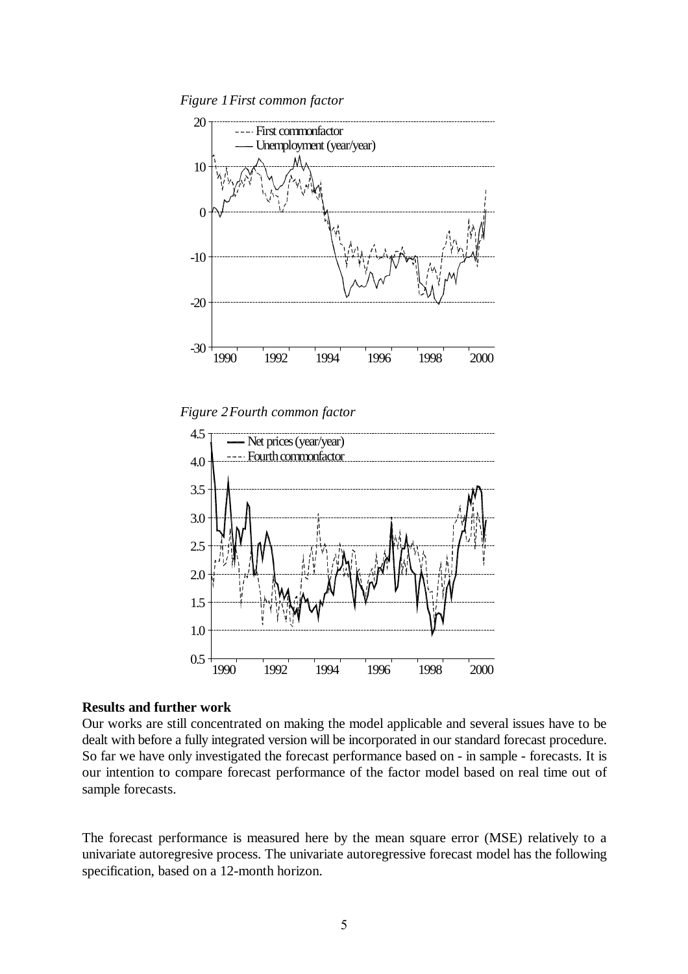<span id="page-7-0"></span>*Figure 1First common factor*



*Figure 2Fourth common factor*



#### **Results and further work**

Our works are still concentrated on making the model applicable and several issues have to be dealt with before a fully integrated version will be incorporated in our standard forecast procedure. So far we have only investigated the forecast performance based on - in sample - forecasts. It is our intention to compare forecast performance of the factor model based on real time out of sample forecasts.

The forecast performance is measured here by the mean square error (MSE) relatively to a univariate autoregresive process. The univariate autoregressive forecast model has the following specification, based on a 12-month horizon.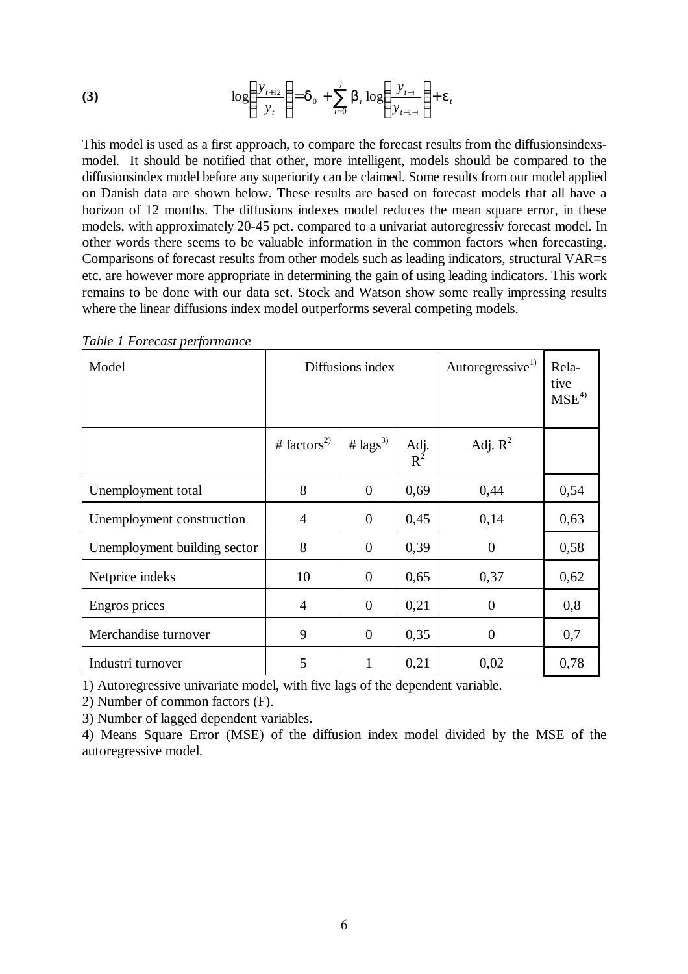(3) 
$$
\log \left( \frac{y_{t+12}}{y_t} \right) = \mathbf{d}_0 + \sum_{i=0}^{j} \mathbf{b}_i \log \left( \frac{y_{t-i}}{y_{t-1-i}} \right) + \mathbf{e}_t
$$

This model is used as a first approach, to compare the forecast results from the diffusionsindexsmodel. It should be notified that other, more intelligent, models should be compared to the diffusionsindex model before any superiority can be claimed. Some results from our model applied on Danish data are shown below. These results are based on forecast models that all have a horizon of 12 months. The diffusions indexes model reduces the mean square error, in these models, with approximately 20-45 pct. compared to a univariat autoregressiv forecast model. In other words there seems to be valuable information in the common factors when forecasting. Comparisons of forecast results from other models such as leading indicators, structural VAR=s etc. are however more appropriate in determining the gain of using leading indicators. This work remains to be done with our data set. Stock and Watson show some really impressing results where the linear diffusions index model outperforms several competing models.

| Model                        |                         | Diffusions index     | Autoregressive <sup>1)</sup> | Rela-<br>tive<br>$MSE^{4}$ |      |
|------------------------------|-------------------------|----------------------|------------------------------|----------------------------|------|
|                              | # factors <sup>2)</sup> | # $\text{lags}^{3)}$ | Adj.<br>$R^2$                | Adj. $R^2$                 |      |
| Unemployment total           | 8                       | $\overline{0}$       | 0,69                         | 0,44                       | 0,54 |
| Unemployment construction    | 4                       | $\theta$             | 0,45                         | 0,14                       | 0,63 |
| Unemployment building sector | 8                       | $\theta$             | 0,39                         | $\overline{0}$             | 0,58 |
| Netprice indeks              | 10                      | $\overline{0}$       | 0,65                         | 0,37                       | 0,62 |
| Engros prices                | 4                       | $\theta$             | 0,21                         | $\overline{0}$             | 0,8  |
| Merchandise turnover         | 9                       | $\overline{0}$       | 0,35                         | $\overline{0}$             | 0,7  |
| Industri turnover            | 5                       | $\mathbf{1}$         | 0,21                         | 0,02                       | 0,78 |

*Table 1 Forecast performance*

1) Autoregressive univariate model, with five lags of the dependent variable.

2) Number of common factors (F).

3) Number of lagged dependent variables.

4) Means Square Error (MSE) of the diffusion index model divided by the MSE of the autoregressive model.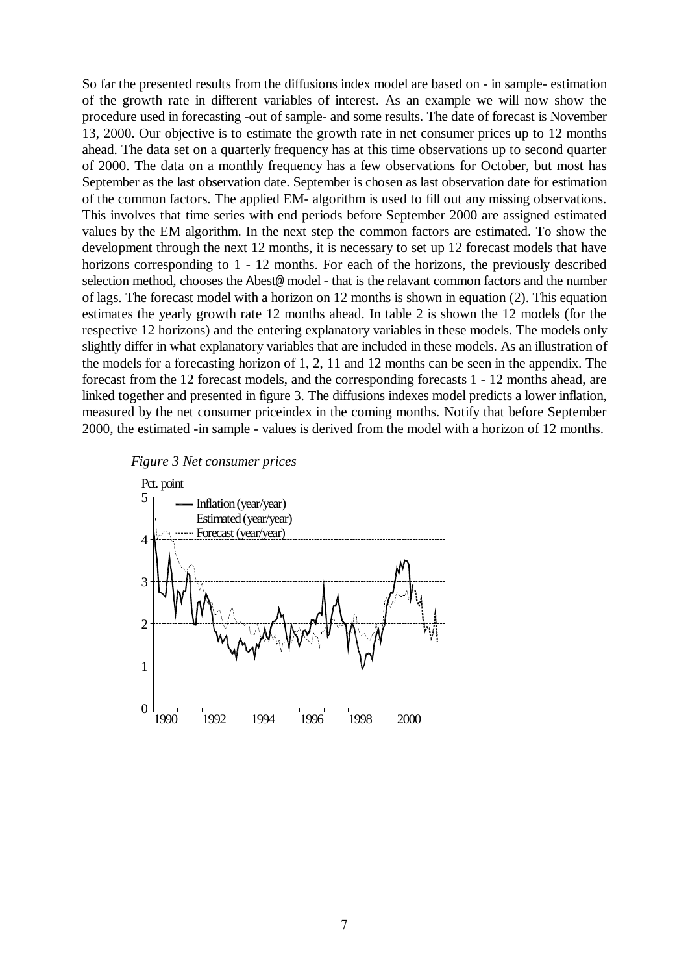So far the presented results from the diffusions index model are based on - in sample- estimation of the growth rate in different variables of interest. As an example we will now show the procedure used in forecasting -out of sample- and some results. The date of forecast is November 13, 2000. Our objective is to estimate the growth rate in net consumer prices up to 12 months ahead. The data set on a quarterly frequency has at this time observations up to second quarter of 2000. The data on a monthly frequency has a few observations for October, but most has September as the last observation date. September is chosen as last observation date for estimation of the common factors. The applied EM- algorithm is used to fill out any missing observations. This involves that time series with end periods before September 2000 are assigned estimated values by the EM algorithm. In the next step the common factors are estimated. To show the development through the next 12 months, it is necessary to set up 12 forecast models that have horizons corresponding to 1 - 12 months. For each of the horizons, the previously described selection method, chooses the Abest@ model - that is the relavant common factors and the number of lags. The forecast model with a horizon on 12 months is shown in equation (2). This equation estimates the yearly growth rate 12 months ahead. In table 2 is shown the 12 models (for the respective 12 horizons) and the entering explanatory variables in these models. The models only slightly differ in what explanatory variables that are included in these models. As an illustration of the models for a forecasting horizon of 1, 2, 11 and 12 months can be seen in the appendix. The forecast from the 12 forecast models, and the corresponding forecasts 1 - 12 months ahead, are linked together and presented in figure 3. The diffusions indexes model predicts a lower inflation, measured by the net consumer priceindex in the coming months. Notify that before September 2000, the estimated -in sample - values is derived from the model with a horizon of 12 months.



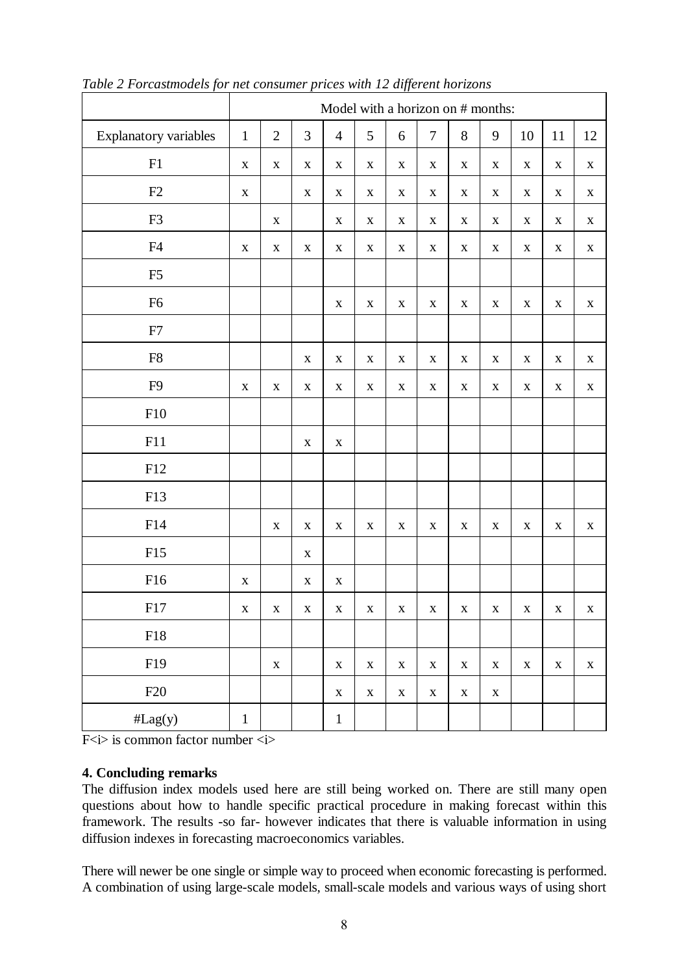|                       | Model with a horizon on # months: |                |                |                |              |              |              |              |              |              |              |              |
|-----------------------|-----------------------------------|----------------|----------------|----------------|--------------|--------------|--------------|--------------|--------------|--------------|--------------|--------------|
| Explanatory variables | $\mathbf{1}$                      | $\overline{2}$ | $\mathfrak{Z}$ | $\overline{4}$ | 5            | $\sqrt{6}$   | $\tau$       | $8\,$        | 9            | 10           | 11           | 12           |
| F1                    | $\mathbf X$                       | $\mathbf X$    | $\mathbf X$    | $\mathbf X$    | $\mathbf X$  | $\mathbf X$  | $\mathbf X$  | $\mathbf X$  | $\mathbf X$  | $\mathbf X$  | $\mathbf X$  | $\mathbf X$  |
| F2                    | $\mathbf X$                       |                | $\mathbf X$    | $\mathbf X$    | $\mathbf X$  | $\mathbf X$  | $\mathbf X$  | $\mathbf X$  | $\mathbf X$  | $\mathbf X$  | $\mathbf X$  | $\mathbf X$  |
| F <sub>3</sub>        |                                   | $\mathbf X$    |                | $\mathbf X$    | $\mathbf X$  | $\mathbf X$  | $\mathbf X$  | $\mathbf X$  | $\mathbf X$  | $\mathbf X$  | $\mathbf X$  | $\mathbf X$  |
| F4                    | $\mathbf X$                       | $\mathbf X$    | $\mathbf X$    | $\mathbf X$    | $\mathbf X$  | $\mathbf X$  | $\mathbf X$  | $\mathbf X$  | $\mathbf X$  | $\mathbf X$  | $\mathbf X$  | $\mathbf X$  |
| F <sub>5</sub>        |                                   |                |                |                |              |              |              |              |              |              |              |              |
| F <sub>6</sub>        |                                   |                |                | $\mathbf X$    | $\mathbf X$  | $\mathbf X$  | $\mathbf X$  | $\mathbf X$  | $\mathbf X$  | $\mathbf X$  | $\mathbf X$  | $\mathbf X$  |
| F7                    |                                   |                |                |                |              |              |              |              |              |              |              |              |
| ${\rm F}8$            |                                   |                | $\mathbf X$    | $\mathbf X$    | $\mathbf X$  | $\mathbf X$  | $\mathbf X$  | $\mathbf X$  | $\mathbf X$  | $\mathbf X$  | $\mathbf X$  | $\mathbf X$  |
| F <sub>9</sub>        | $\mathbf X$                       | $\mathbf X$    | $\mathbf X$    | $\mathbf X$    | $\mathbf X$  | $\mathbf X$  | $\mathbf X$  | $\mathbf X$  | $\mathbf X$  | $\mathbf X$  | $\mathbf X$  | $\mathbf X$  |
| F10                   |                                   |                |                |                |              |              |              |              |              |              |              |              |
| F11                   |                                   |                | $\mathbf X$    | $\mathbf X$    |              |              |              |              |              |              |              |              |
| F12                   |                                   |                |                |                |              |              |              |              |              |              |              |              |
| F13                   |                                   |                |                |                |              |              |              |              |              |              |              |              |
| F14                   |                                   | $\mathbf X$    | $\mathbf X$    | $\mathbf X$    | $\mathbf X$  | $\mathbf X$  | $\mathbf X$  | $\mathbf X$  | $\mathbf X$  | $\mathbf X$  | $\mathbf X$  | $\mathbf X$  |
| F15                   |                                   |                | $\mathbf X$    |                |              |              |              |              |              |              |              |              |
| F16                   | $\mathbf X$                       |                | $\mathbf X$    | $\mathbf X$    |              |              |              |              |              |              |              |              |
| F17                   | $\mathbf{X}$                      | $\mathbf{X}$   | X              | $\mathbf{X}$   | $\mathbf{X}$ | $\mathbf{X}$ | $\mathbf{X}$ | $\mathbf{X}$ | $\mathbf{X}$ | $\mathbf{X}$ | $\mathbf{X}$ | $\mathbf{X}$ |
| ${\rm F}18$           |                                   |                |                |                |              |              |              |              |              |              |              |              |
| F19                   |                                   | $\mathbf X$    |                | $\mathbf X$    | $\mathbf X$  | $\mathbf X$  | $\mathbf X$  | $\mathbf X$  | $\mathbf X$  | $\mathbf X$  | $\mathbf X$  | $\mathbf X$  |
| F20                   |                                   |                |                | $\mathbf X$    | $\mathbf X$  | $\mathbf X$  | $\mathbf X$  | $\mathbf X$  | $\mathbf X$  |              |              |              |
| #Lag(y)               | $\,1$                             |                |                | $\mathbf{1}$   |              |              |              |              |              |              |              |              |

<span id="page-10-0"></span>*Table 2 Forcastmodels for net consumer prices with 12 different horizons*

F $\langle i \rangle$  is common factor number  $\langle i \rangle$ 

# **4. Concluding remarks**

The diffusion index models used here are still being worked on. There are still many open questions about how to handle specific practical procedure in making forecast within this framework. The results -so far- however indicates that there is valuable information in using diffusion indexes in forecasting macroeconomics variables.

There will newer be one single or simple way to proceed when economic forecasting is performed. A combination of using large-scale models, small-scale models and various ways of using short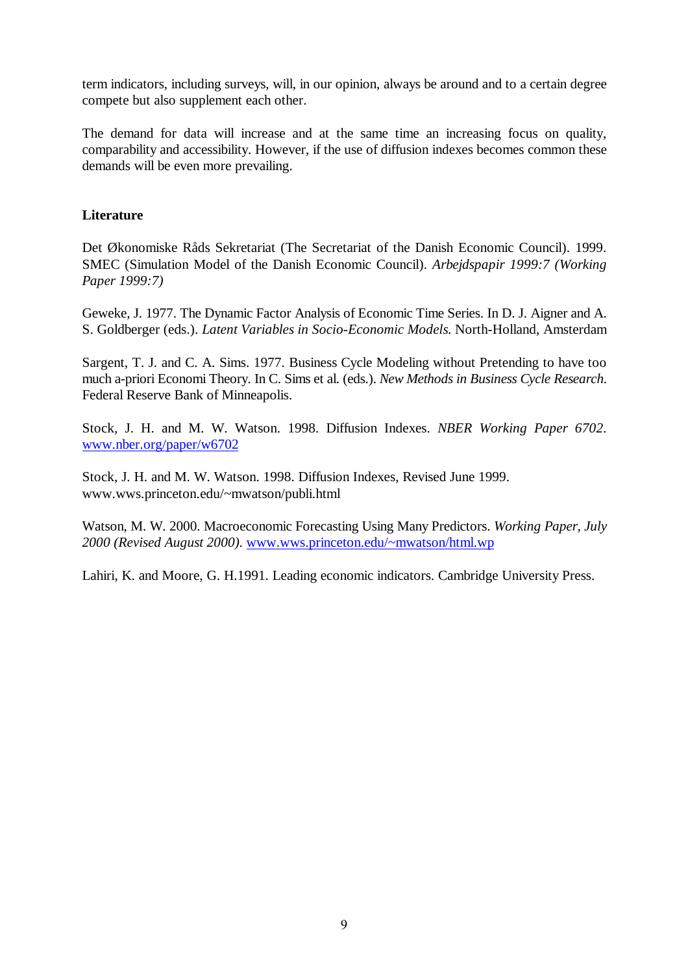<span id="page-11-0"></span>term indicators, including surveys, will, in our opinion, always be around and to a certain degree compete but also supplement each other.

The demand for data will increase and at the same time an increasing focus on quality, comparability and accessibility. However, if the use of diffusion indexes becomes common these demands will be even more prevailing.

# **Literature**

Det Økonomiske Råds Sekretariat (The Secretariat of the Danish Economic Council). 1999. SMEC (Simulation Model of the Danish Economic Council). *Arbejdspapir 1999:7 (Working Paper 1999:7)*

Geweke, J. 1977. The Dynamic Factor Analysis of Economic Time Series. In D. J. Aigner and A. S. Goldberger (eds.). *Latent Variables in Socio-Economic Models.* North-Holland, Amsterdam

Sargent, T. J. and C. A. Sims. 1977. Business Cycle Modeling without Pretending to have too much a-priori Economi Theory. In C. Sims et al. (eds.). *New Methods in Business Cycle Research.* Federal Reserve Bank of Minneapolis.

Stock, J. H. and M. W. Watson. 1998. Diffusion Indexes. *NBER Working Paper 6702.* www.nber.org/paper/w6702

Stock, J. H. and M. W. Watson. 1998. Diffusion Indexes, Revised June 1999. www.wws.princeton.edu/~mwatson/publi.html

Watson, M. W. 2000. Macroeconomic Forecasting Using Many Predictors. *Working Paper, July 2000 (Revised August 2000).* www.wws.princeton.edu/~mwatson/html.wp

Lahiri, K. and Moore, G. H.1991. Leading economic indicators. Cambridge University Press.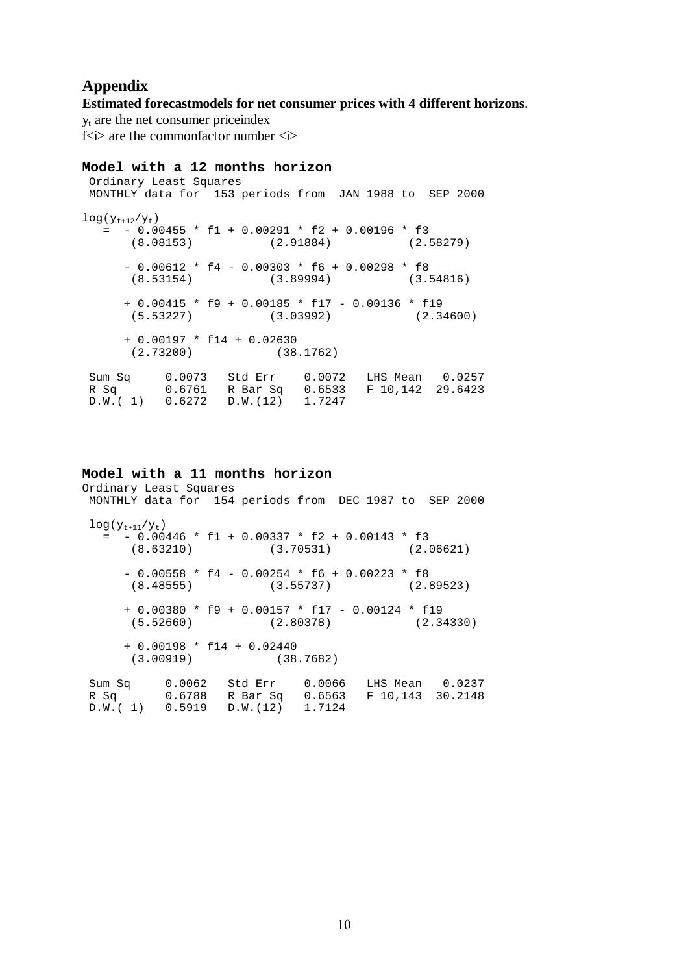# <span id="page-12-0"></span>**Appendix**

#### **Estimated forecastmodels for net consumer prices with 4 different horizons**.

 $y_t$  are the net consumer priceindex f $\langle i \rangle$  are the commonfactor number  $\langle i \rangle$ 

#### **Model with a 12 months horizon**

 Ordinary Least Squares MONTHLY data for 153 periods from JAN 1988 to SEP 2000  $log(y<sub>t+12</sub>/y<sub>t</sub>)$  $= -0.00455 * f1 + 0.00291 * f2 + 0.00196 * f3$  (8.08153) (2.91884) (2.58279)  $- 0.00612 * f4 - 0.00303 * f6 + 0.00298 * f8$  (8.53154) (3.89994) (3.54816) + 0.00415 \* f9 + 0.00185 \* f17 - 0.00136 \* f19 (5.53227) (3.03992) (2.34600) + 0.00197 \* f14 + 0.02630 (2.73200) (38.1762) Sum Sq 0.0073 Std Err 0.0072 LHS Mean 0.0257 R Sq 0.6761 R Bar Sq 0.6533 F 10,142 29.6423 D.W.( 1) 0.6272 D.W.(12) 1.7247

#### **Model with a 11 months horizon**

Ordinary Least Squares MONTHLY data for 154 periods from DEC 1987 to SEP 2000  $log(y<sub>t+11</sub>/y<sub>t</sub>)$  $=$   $-0.00446$  \* f1 + 0.00337 \* f2 + 0.00143 \* f3<br>(8.63210) (3.70531) (2.06621)  $(3.70531)$  $-$  0.00558 \* f4 - 0.00254 \* f6 + 0.00223 \* f8 (8.48555) (3.55737) (2.89523) + 0.00380 \* f9 + 0.00157 \* f17 - 0.00124 \* f19 (5.52660) (2.80378) (2.34330) + 0.00198 \* f14 + 0.02440  $(38.7682)$ Sum Sq 0.0062 Std Err 0.0066 LHS Mean 0.0237<br>R Sq 0.6788 R Bar Sq 0.6563 F 10,143 30.2148 0.6788 R Bar Sq 0.6563 D.W.( 1) 0.5919 D.W.(12) 1.7124